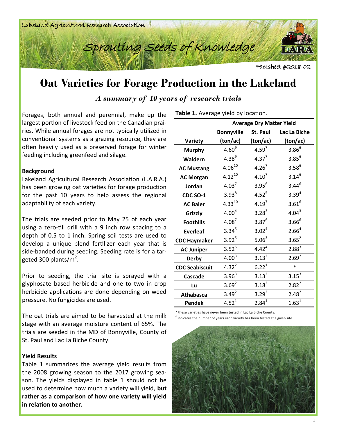



Factsheet #2018-02

## **Oat Varieties for Forage Production in the Lakeland**

*A summary of 10 years of research trials*

Forages, both annual and perennial, make up the largest portion of livestock feed on the Canadian prairies. While annual forages are not typically utilized in conventional systems as a grazing resource, they are often heavily used as a preserved forage for winter feeding including greenfeed and silage.

## **Background**

Lakeland Agricultural Research Association (L.A.R.A.) has been growing oat varieties for forage production for the past 10 years to help assess the regional adaptability of each variety.

The trials are seeded prior to May 25 of each year using a zero-till drill with a 9 inch row spacing to a depth of 0.5 to 1 inch. Spring soil tests are used to develop a unique blend fertilizer each year that is side-banded during seeding. Seeding rate is for a targeted 300 plants/m<sup>2</sup>.

Prior to seeding, the trial site is sprayed with a glyphosate based herbicide and one to two in crop herbicide applications are done depending on weed pressure. No fungicides are used.

The oat trials are aimed to be harvested at the milk stage with an average moisture content of 65%. The trials are seeded in the MD of Bonnyville, County of St. Paul and Lac La Biche County.

## **Yield Results**

Table 1 summarizes the average yield results from the 2008 growing season to the 2017 growing season. The yields displayed in table 1 should not be used to determine how much a variety will yield, **but rather as a comparison of how one variety will yield in relation to another.** 

| Table 1. Average yield by location. |  |
|-------------------------------------|--|
|                                     |  |

|                       | <b>Average Dry Matter Yield</b> |                   |                   |  |  |  |
|-----------------------|---------------------------------|-------------------|-------------------|--|--|--|
|                       | <b>Bonnyville</b>               | St. Paul          | Lac La Biche      |  |  |  |
| <b>Variety</b>        | (ton/ac)                        | (ton/ac)          | (ton/ac)          |  |  |  |
| <b>Murphy</b>         | 4.60 <sup>9</sup>               | $4.59^{7}$        | $3.86^{6}$        |  |  |  |
| Waldern               | $4.38^{9}$                      | $4.37^{7}$        | $3.85^{6}$        |  |  |  |
| <b>AC Mustang</b>     | $4.06^{10}$                     | 4.26 <sup>7</sup> | $3.58^{6}$        |  |  |  |
| <b>AC Morgan</b>      | $4.12^{10}$                     | $4.10^{7}$        | $3.14^{6}$        |  |  |  |
| Jordan                | 4.03 <sup>7</sup>               | $3.95^{6}$        | $3.44^{6}$        |  |  |  |
| <b>CDC SO-1</b>       | $3.93^{8}$                      | $4.52^{5}$        | $3.39^{4}$        |  |  |  |
| <b>AC Baler</b>       | $4.33^{10}$                     | 4.19 <sup>7</sup> | $3.61^{6}$        |  |  |  |
| Grizzly               | 4.00 <sup>4</sup>               | $3.28^{3}$        | $4.04^{3}$        |  |  |  |
| <b>Foothills</b>      | $4.08^7$                        | $3.87^{6}$        | $3.66^{6}$        |  |  |  |
| <b>Everleaf</b>       | $3.34^{5}$                      | $3.02^{4}$        | 2.66 <sup>4</sup> |  |  |  |
| <b>CDC Haymaker</b>   | $3.92^{5}$                      | 5.06 <sup>3</sup> | $3.65^{2}$        |  |  |  |
| <b>AC Juniper</b>     | $3.52^{5}$                      | $4.42^{4}$        | $2.88^{3}$        |  |  |  |
| <b>Derby</b>          | $4.00^{3}$                      | $3.13^{2}$        | $2.69^{2}$        |  |  |  |
| <b>CDC Seabiscuit</b> | $4.32^{2}$                      | $6.22^{1}$        | $\ast$            |  |  |  |
| <b>Cascade</b>        | $3.96^{3}$                      | $3.13^{2}$        | $3.15^{3}$        |  |  |  |
| Lu                    | $3.69^{2}$                      | $3.18^{2}$        | $2.82^{2}$        |  |  |  |
| <b>Athabasca</b>      | $3.49^{2}$                      | $3.29^{2}$        | $2.48^{2}$        |  |  |  |
| <b>Pendek</b>         | $4.52^{1}$                      | $2.84^{1}$        | $1.63^{1}$        |  |  |  |

\* these varieties have never been tested in Lac La Biche County.

# indicates the number of years each variety has been tested at a given site.